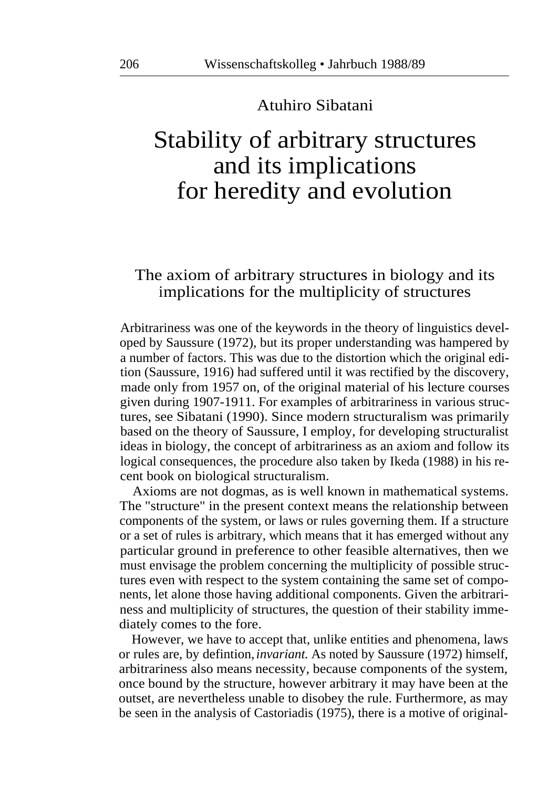#### Atuhiro Sibatani

# Stability of arbitrary structures and its implications for heredity and evolution

## The axiom of arbitrary structures in biology and its implications for the multiplicity of structures

Arbitrariness was one of the keywords in the theory of linguistics developed by Saussure (1972), but its proper understanding was hampered by a number of factors. This was due to the distortion which the original edition (Saussure, 1916) had suffered until it was rectified by the discovery, made only from 1957 on, of the original material of his lecture courses given during 1907-1911. For examples of arbitrariness in various structures, see Sibatani (1990). Since modern structuralism was primarily based on the theory of Saussure, I employ, for developing structuralist ideas in biology, the concept of arbitrariness as an axiom and follow its logical consequences, the procedure also taken by Ikeda (1988) in his recent book on biological structuralism.

Axioms are not dogmas, as is well known in mathematical systems. The "structure" in the present context means the relationship between components of the system, or laws or rules governing them. If a structure or a set of rules is arbitrary, which means that it has emerged without any particular ground in preference to other feasible alternatives, then we must envisage the problem concerning the multiplicity of possible structures even with respect to the system containing the same set of components, let alone those having additional components. Given the arbitrariness and multiplicity of structures, the question of their stability immediately comes to the fore.

However, we have to accept that, unlike entities and phenomena, laws or rules are, by defintion, *invariant.* As noted by Saussure (1972) himself, arbitrariness also means necessity, because components of the system, once bound by the structure, however arbitrary it may have been at the outset, are nevertheless unable to disobey the rule. Furthermore, as may be seen in the analysis of Castoriadis (1975), there is a motive of original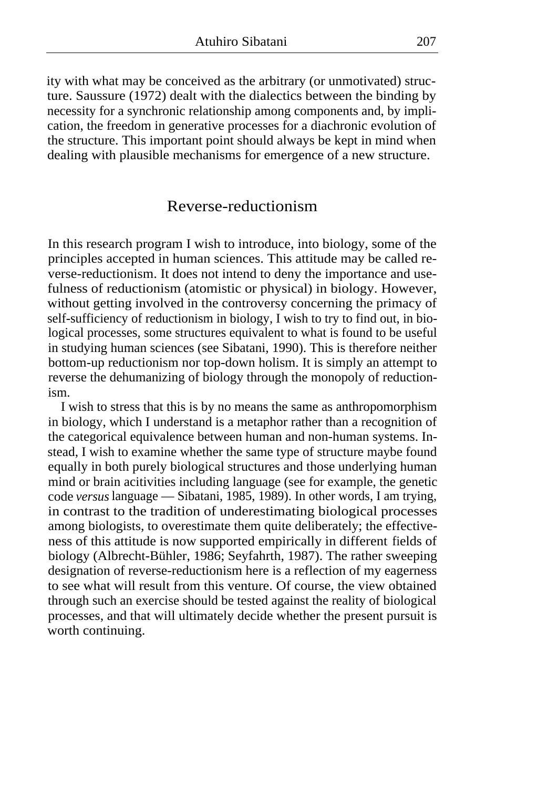ity with what may be conceived as the arbitrary (or unmotivated) structure. Saussure (1972) dealt with the dialectics between the binding by necessity for a synchronic relationship among components and, by implication, the freedom in generative processes for a diachronic evolution of the structure. This important point should always be kept in mind when dealing with plausible mechanisms for emergence of a new structure.

#### Reverse-reductionism

In this research program I wish to introduce, into biology, some of the principles accepted in human sciences. This attitude may be called reverse-reductionism. It does not intend to deny the importance and usefulness of reductionism (atomistic or physical) in biology. However, without getting involved in the controversy concerning the primacy of self-sufficiency of reductionism in biology, I wish to try to find out, in biological processes, some structures equivalent to what is found to be useful in studying human sciences (see Sibatani, 1990). This is therefore neither bottom-up reductionism nor top-down holism. It is simply an attempt to reverse the dehumanizing of biology through the monopoly of reductionism.

I wish to stress that this is by no means the same as anthropomorphism in biology, which I understand is a metaphor rather than a recognition of the categorical equivalence between human and non-human systems. Instead, I wish to examine whether the same type of structure maybe found equally in both purely biological structures and those underlying human mind or brain acitivities including language (see for example, the genetic code *versus* language — Sibatani, 1985, 1989). In other words, I am trying, in contrast to the tradition of underestimating biological processes among biologists, to overestimate them quite deliberately; the effectiveness of this attitude is now supported empirically in different fields of biology (Albrecht-Bühler, 1986; Seyfahrth, 1987). The rather sweeping designation of reverse-reductionism here is a reflection of my eagerness to see what will result from this venture. Of course, the view obtained through such an exercise should be tested against the reality of biological processes, and that will ultimately decide whether the present pursuit is worth continuing.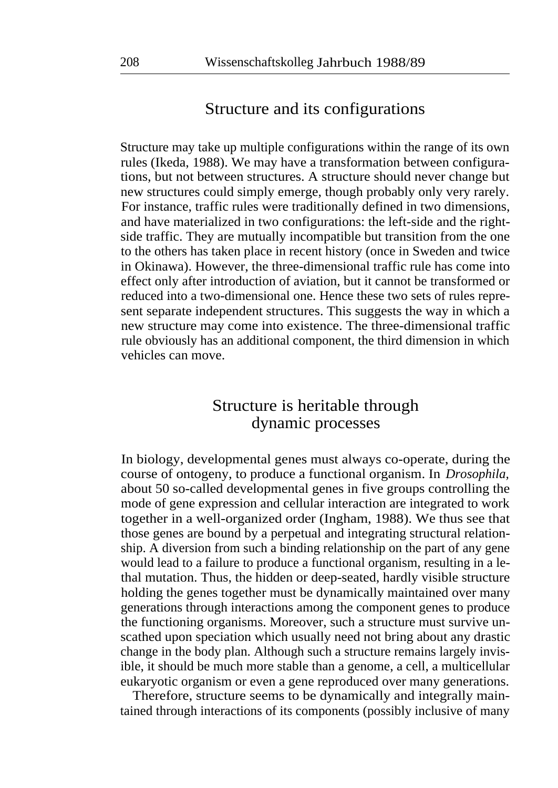## Structure and its configurations

Structure may take up multiple configurations within the range of its own rules (Ikeda, 1988). We may have a transformation between configurations, but not between structures. A structure should never change but new structures could simply emerge, though probably only very rarely. For instance, traffic rules were traditionally defined in two dimensions, and have materialized in two configurations: the left-side and the rightside traffic. They are mutually incompatible but transition from the one to the others has taken place in recent history (once in Sweden and twice in Okinawa). However, the three-dimensional traffic rule has come into effect only after introduction of aviation, but it cannot be transformed or reduced into a two-dimensional one. Hence these two sets of rules represent separate independent structures. This suggests the way in which a new structure may come into existence. The three-dimensional traffic rule obviously has an additional component, the third dimension in which vehicles can move.

# Structure is heritable through dynamic processes

In biology, developmental genes must always co-operate, during the course of ontogeny, to produce a functional organism. In *Drosophila,*  about 50 so-called developmental genes in five groups controlling the mode of gene expression and cellular interaction are integrated to work together in a well-organized order (Ingham, 1988). We thus see that those genes are bound by a perpetual and integrating structural relationship. A diversion from such a binding relationship on the part of any gene would lead to a failure to produce a functional organism, resulting in a lethal mutation. Thus, the hidden or deep-seated, hardly visible structure holding the genes together must be dynamically maintained over many generations through interactions among the component genes to produce the functioning organisms. Moreover, such a structure must survive unscathed upon speciation which usually need not bring about any drastic change in the body plan. Although such a structure remains largely invisible, it should be much more stable than a genome, a cell, a multicellular eukaryotic organism or even a gene reproduced over many generations.

Therefore, structure seems to be dynamically and integrally maintained through interactions of its components (possibly inclusive of many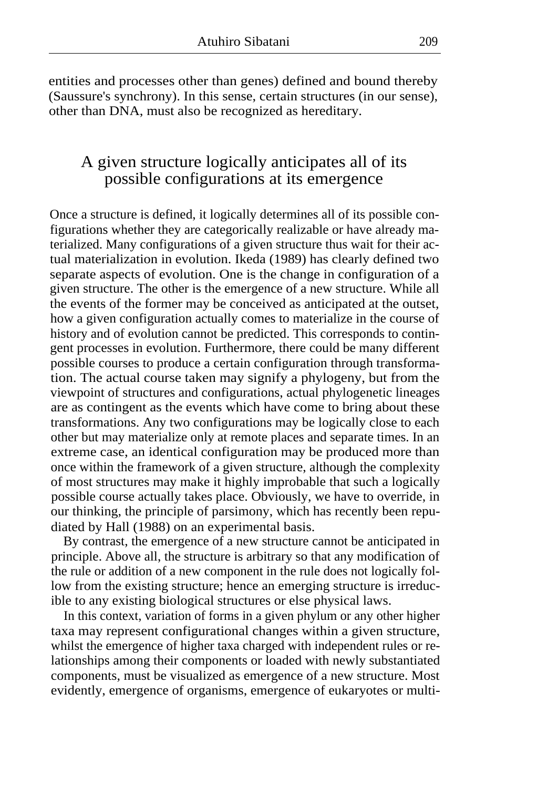entities and processes other than genes) defined and bound thereby (Saussure's synchrony). In this sense, certain structures (in our sense), other than DNA, must also be recognized as hereditary.

# A given structure logically anticipates all of its possible configurations at its emergence

Once a structure is defined, it logically determines all of its possible configurations whether they are categorically realizable or have already materialized. Many configurations of a given structure thus wait for their actual materialization in evolution. Ikeda (1989) has clearly defined two separate aspects of evolution. One is the change in configuration of a given structure. The other is the emergence of a new structure. While all the events of the former may be conceived as anticipated at the outset, how a given configuration actually comes to materialize in the course of history and of evolution cannot be predicted. This corresponds to contingent processes in evolution. Furthermore, there could be many different possible courses to produce a certain configuration through transformation. The actual course taken may signify a phylogeny, but from the viewpoint of structures and configurations, actual phylogenetic lineages are as contingent as the events which have come to bring about these transformations. Any two configurations may be logically close to each other but may materialize only at remote places and separate times. In an extreme case, an identical configuration may be produced more than once within the framework of a given structure, although the complexity of most structures may make it highly improbable that such a logically possible course actually takes place. Obviously, we have to override, in our thinking, the principle of parsimony, which has recently been repudiated by Hall (1988) on an experimental basis.

By contrast, the emergence of a new structure cannot be anticipated in principle. Above all, the structure is arbitrary so that any modification of the rule or addition of a new component in the rule does not logically follow from the existing structure; hence an emerging structure is irreducible to any existing biological structures or else physical laws.

In this context, variation of forms in a given phylum or any other higher taxa may represent configurational changes within a given structure, whilst the emergence of higher taxa charged with independent rules or relationships among their components or loaded with newly substantiated components, must be visualized as emergence of a new structure. Most evidently, emergence of organisms, emergence of eukaryotes or multi-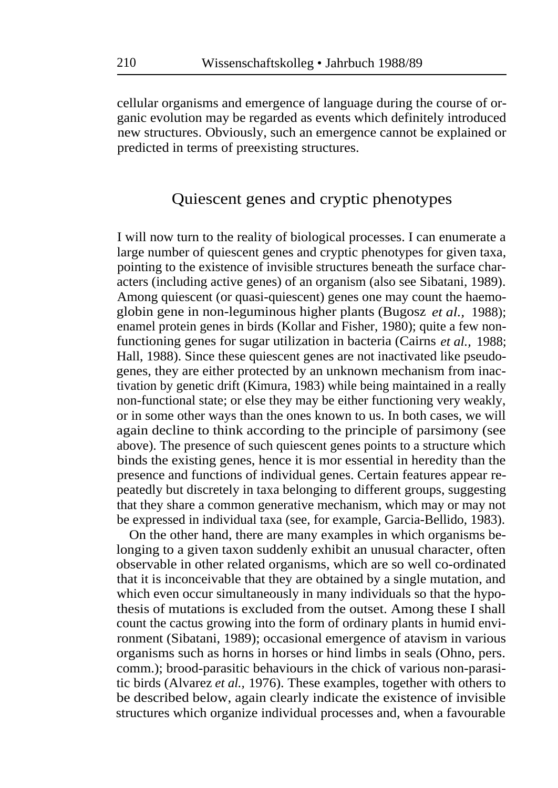cellular organisms and emergence of language during the course of organic evolution may be regarded as events which definitely introduced new structures. Obviously, such an emergence cannot be explained or predicted in terms of preexisting structures.

## Quiescent genes and cryptic phenotypes

I will now turn to the reality of biological processes. I can enumerate a large number of quiescent genes and cryptic phenotypes for given taxa, pointing to the existence of invisible structures beneath the surface characters (including active genes) of an organism (also see Sibatani, 1989). Among quiescent (or quasi-quiescent) genes one may count the haemoglobin gene in non-leguminous higher plants (Bugosz *et al.,* 1988); enamel protein genes in birds (Kollar and Fisher, 1980); quite a few nonfunctioning genes for sugar utilization in bacteria (Cairns *et al.,* 1988; Hall, 1988). Since these quiescent genes are not inactivated like pseudogenes, they are either protected by an unknown mechanism from inactivation by genetic drift (Kimura, 1983) while being maintained in a really non-functional state; or else they may be either functioning very weakly, or in some other ways than the ones known to us. In both cases, we will again decline to think according to the principle of parsimony (see above). The presence of such quiescent genes points to a structure which binds the existing genes, hence it is mor essential in heredity than the presence and functions of individual genes. Certain features appear repeatedly but discretely in taxa belonging to different groups, suggesting that they share a common generative mechanism, which may or may not be expressed in individual taxa (see, for example, Garcia-Bellido, 1983).

On the other hand, there are many examples in which organisms belonging to a given taxon suddenly exhibit an unusual character, often observable in other related organisms, which are so well co-ordinated that it is inconceivable that they are obtained by a single mutation, and which even occur simultaneously in many individuals so that the hypothesis of mutations is excluded from the outset. Among these I shall count the cactus growing into the form of ordinary plants in humid environment (Sibatani, 1989); occasional emergence of atavism in various organisms such as horns in horses or hind limbs in seals (Ohno, pers. comm.); brood-parasitic behaviours in the chick of various non-parasitic birds (Alvarez *et al.,* 1976). These examples, together with others to be described below, again clearly indicate the existence of invisible structures which organize individual processes and, when a favourable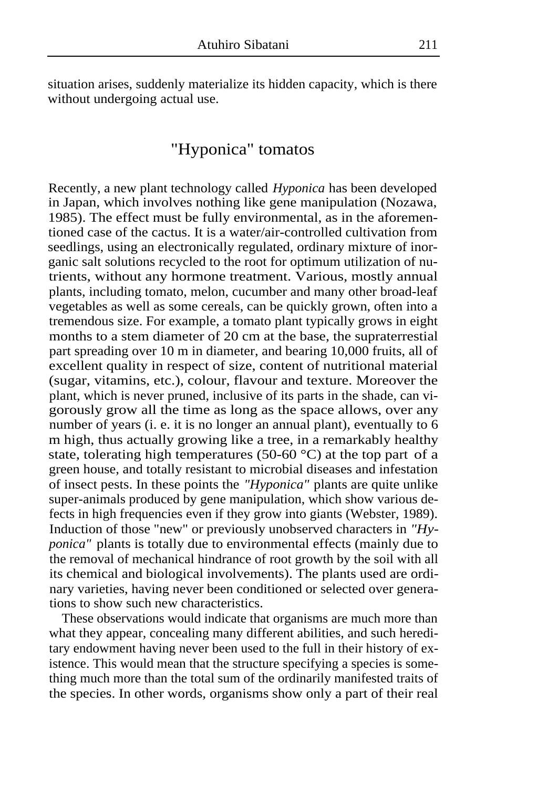situation arises, suddenly materialize its hidden capacity, which is there without undergoing actual use.

## "Hyponica" tomatos

Recently, a new plant technology called *Hyponica* has been developed in Japan, which involves nothing like gene manipulation (Nozawa, 1985). The effect must be fully environmental, as in the aforementioned case of the cactus. It is a water/air-controlled cultivation from seedlings, using an electronically regulated, ordinary mixture of inorganic salt solutions recycled to the root for optimum utilization of nutrients, without any hormone treatment. Various, mostly annual plants, including tomato, melon, cucumber and many other broad-leaf vegetables as well as some cereals, can be quickly grown, often into a tremendous size. For example, a tomato plant typically grows in eight months to a stem diameter of 20 cm at the base, the supraterrestial part spreading over 10 m in diameter, and bearing 10,000 fruits, all of excellent quality in respect of size, content of nutritional material (sugar, vitamins, etc.), colour, flavour and texture. Moreover the plant, which is never pruned, inclusive of its parts in the shade, can vigorously grow all the time as long as the space allows, over any number of years (i. e. it is no longer an annual plant), eventually to 6 m high, thus actually growing like a tree, in a remarkably healthy state, tolerating high temperatures (50-60  $^{\circ}$ C) at the top part of a green house, and totally resistant to microbial diseases and infestation of insect pests. In these points the *"Hyponica"* plants are quite unlike super-animals produced by gene manipulation, which show various defects in high frequencies even if they grow into giants (Webster, 1989). Induction of those "new" or previously unobserved characters in *"Hyponica"* plants is totally due to environmental effects (mainly due to the removal of mechanical hindrance of root growth by the soil with all its chemical and biological involvements). The plants used are ordinary varieties, having never been conditioned or selected over generations to show such new characteristics.

These observations would indicate that organisms are much more than what they appear, concealing many different abilities, and such hereditary endowment having never been used to the full in their history of existence. This would mean that the structure specifying a species is something much more than the total sum of the ordinarily manifested traits of the species. In other words, organisms show only a part of their real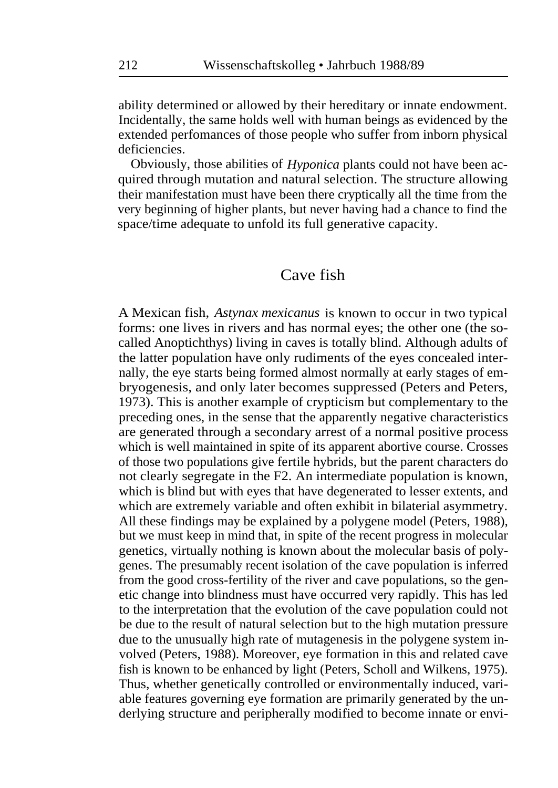ability determined or allowed by their hereditary or innate endowment. Incidentally, the same holds well with human beings as evidenced by the extended perfomances of those people who suffer from inborn physical deficiencies.

Obviously, those abilities of *Hyponica* plants could not have been acquired through mutation and natural selection. The structure allowing their manifestation must have been there cryptically all the time from the very beginning of higher plants, but never having had a chance to find the space/time adequate to unfold its full generative capacity.

#### Cave fish

A Mexican fish, *Astynax mexicanus* is known to occur in two typical forms: one lives in rivers and has normal eyes; the other one (the socalled Anoptichthys) living in caves is totally blind. Although adults of the latter population have only rudiments of the eyes concealed internally, the eye starts being formed almost normally at early stages of embryogenesis, and only later becomes suppressed (Peters and Peters, 1973). This is another example of crypticism but complementary to the preceding ones, in the sense that the apparently negative characteristics are generated through a secondary arrest of a normal positive process which is well maintained in spite of its apparent abortive course. Crosses of those two populations give fertile hybrids, but the parent characters do not clearly segregate in the F2. An intermediate population is known, which is blind but with eyes that have degenerated to lesser extents, and which are extremely variable and often exhibit in bilaterial asymmetry. All these findings may be explained by a polygene model (Peters, 1988), but we must keep in mind that, in spite of the recent progress in molecular genetics, virtually nothing is known about the molecular basis of polygenes. The presumably recent isolation of the cave population is inferred from the good cross-fertility of the river and cave populations, so the genetic change into blindness must have occurred very rapidly. This has led to the interpretation that the evolution of the cave population could not be due to the result of natural selection but to the high mutation pressure due to the unusually high rate of mutagenesis in the polygene system involved (Peters, 1988). Moreover, eye formation in this and related cave fish is known to be enhanced by light (Peters, Scholl and Wilkens, 1975). Thus, whether genetically controlled or environmentally induced, variable features governing eye formation are primarily generated by the underlying structure and peripherally modified to become innate or envi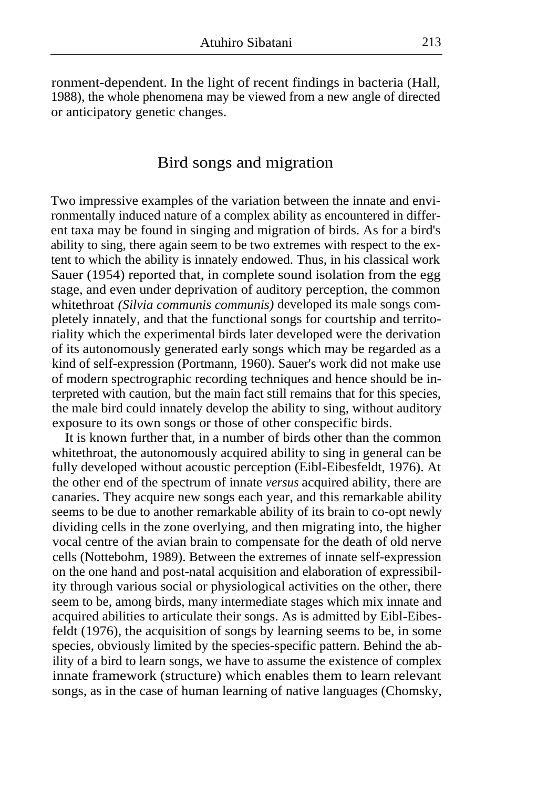ronment-dependent. In the light of recent findings in bacteria (Hall, 1988), the whole phenomena may be viewed from a new angle of directed or anticipatory genetic changes.

#### Bird songs and migration

Two impressive examples of the variation between the innate and environmentally induced nature of a complex ability as encountered in different taxa may be found in singing and migration of birds. As for a bird's ability to sing, there again seem to be two extremes with respect to the extent to which the ability is innately endowed. Thus, in his classical work Sauer (1954) reported that, in complete sound isolation from the egg stage, and even under deprivation of auditory perception, the common whitethroat *(Silvia communis communis)* developed its male songs completely innately, and that the functional songs for courtship and territoriality which the experimental birds later developed were the derivation of its autonomously generated early songs which may be regarded as a kind of self-expression (Portmann, 1960). Sauer's work did not make use of modern spectrographic recording techniques and hence should be interpreted with caution, but the main fact still remains that for this species, the male bird could innately develop the ability to sing, without auditory exposure to its own songs or those of other conspecific birds.

It is known further that, in a number of birds other than the common whitethroat, the autonomously acquired ability to sing in general can be fully developed without acoustic perception (Eibl-Eibesfeldt, 1976). At the other end of the spectrum of innate *versus* acquired ability, there are canaries. They acquire new songs each year, and this remarkable ability seems to be due to another remarkable ability of its brain to co-opt newly dividing cells in the zone overlying, and then migrating into, the higher vocal centre of the avian brain to compensate for the death of old nerve cells (Nottebohm, 1989). Between the extremes of innate self-expression on the one hand and post-natal acquisition and elaboration of expressibility through various social or physiological activities on the other, there seem to be, among birds, many intermediate stages which mix innate and acquired abilities to articulate their songs. As is admitted by Eibl-Eibesfeldt (1976), the acquisition of songs by learning seems to be, in some species, obviously limited by the species-specific pattern. Behind the ability of a bird to learn songs, we have to assume the existence of complex innate framework (structure) which enables them to learn relevant songs, as in the case of human learning of native languages (Chomsky,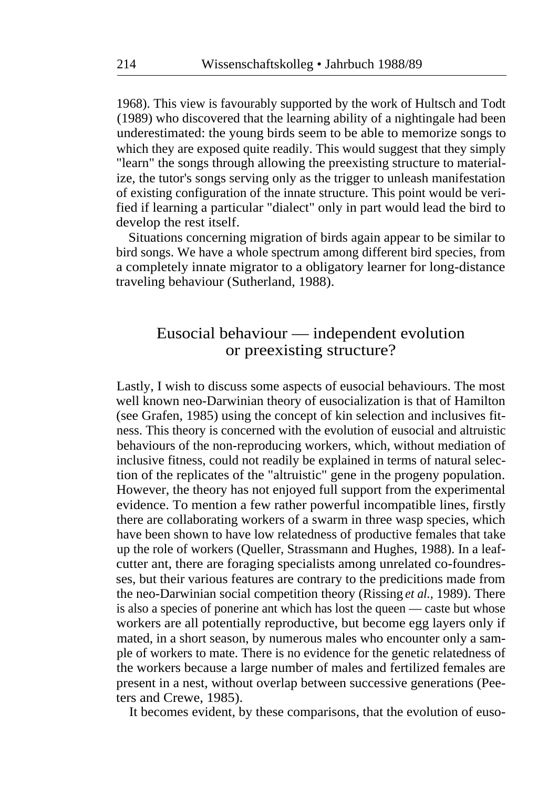1968). This view is favourably supported by the work of Hultsch and Todt (1989) who discovered that the learning ability of a nightingale had been underestimated: the young birds seem to be able to memorize songs to which they are exposed quite readily. This would suggest that they simply "learn" the songs through allowing the preexisting structure to materialize, the tutor's songs serving only as the trigger to unleash manifestation of existing configuration of the innate structure. This point would be verified if learning a particular "dialect" only in part would lead the bird to develop the rest itself.

Situations concerning migration of birds again appear to be similar to bird songs. We have a whole spectrum among different bird species, from a completely innate migrator to a obligatory learner for long-distance traveling behaviour (Sutherland, 1988).

## Eusocial behaviour — independent evolution or preexisting structure?

Lastly, I wish to discuss some aspects of eusocial behaviours. The most well known neo-Darwinian theory of eusocialization is that of Hamilton (see Grafen, 1985) using the concept of kin selection and inclusives fitness. This theory is concerned with the evolution of eusocial and altruistic behaviours of the non-reproducing workers, which, without mediation of inclusive fitness, could not readily be explained in terms of natural selection of the replicates of the "altruistic" gene in the progeny population. However, the theory has not enjoyed full support from the experimental evidence. To mention a few rather powerful incompatible lines, firstly there are collaborating workers of a swarm in three wasp species, which have been shown to have low relatedness of productive females that take up the role of workers (Queller, Strassmann and Hughes, 1988). In a leafcutter ant, there are foraging specialists among unrelated co-foundresses, but their various features are contrary to the predicitions made from the neo-Darwinian social competition theory (Rissing *et al.,* 1989). There is also a species of ponerine ant which has lost the queen — caste but whose workers are all potentially reproductive, but become egg layers only if mated, in a short season, by numerous males who encounter only a sample of workers to mate. There is no evidence for the genetic relatedness of the workers because a large number of males and fertilized females are present in a nest, without overlap between successive generations (Peeters and Crewe, 1985).

It becomes evident, by these comparisons, that the evolution of euso-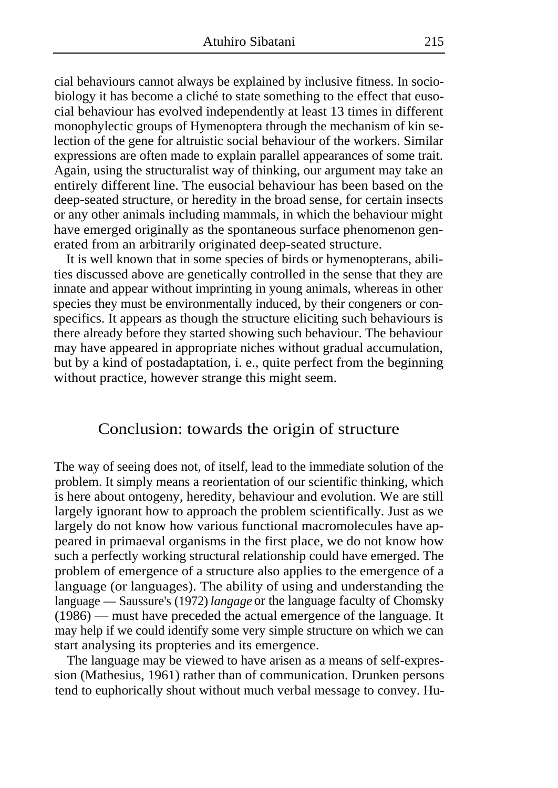cial behaviours cannot always be explained by inclusive fitness. In sociobiology it has become a cliché to state something to the effect that eusocial behaviour has evolved independently at least 13 times in different monophylectic groups of Hymenoptera through the mechanism of kin selection of the gene for altruistic social behaviour of the workers. Similar expressions are often made to explain parallel appearances of some trait. Again, using the structuralist way of thinking, our argument may take an entirely different line. The eusocial behaviour has been based on the deep-seated structure, or heredity in the broad sense, for certain insects or any other animals including mammals, in which the behaviour might have emerged originally as the spontaneous surface phenomenon generated from an arbitrarily originated deep-seated structure.

It is well known that in some species of birds or hymenopterans, abilities discussed above are genetically controlled in the sense that they are innate and appear without imprinting in young animals, whereas in other species they must be environmentally induced, by their congeners or conspecifics. It appears as though the structure eliciting such behaviours is there already before they started showing such behaviour. The behaviour may have appeared in appropriate niches without gradual accumulation, but by a kind of postadaptation, i. e., quite perfect from the beginning without practice, however strange this might seem.

#### Conclusion: towards the origin of structure

The way of seeing does not, of itself, lead to the immediate solution of the problem. It simply means a reorientation of our scientific thinking, which is here about ontogeny, heredity, behaviour and evolution. We are still largely ignorant how to approach the problem scientifically. Just as we largely do not know how various functional macromolecules have appeared in primaeval organisms in the first place, we do not know how such a perfectly working structural relationship could have emerged. The problem of emergence of a structure also applies to the emergence of a language (or languages). The ability of using and understanding the language — Saussure's (1972) *langage* or the language faculty of Chomsky (1986) — must have preceded the actual emergence of the language. It may help if we could identify some very simple structure on which we can start analysing its propteries and its emergence.

The language may be viewed to have arisen as a means of self-expression (Mathesius, 1961) rather than of communication. Drunken persons tend to euphorically shout without much verbal message to convey. Hu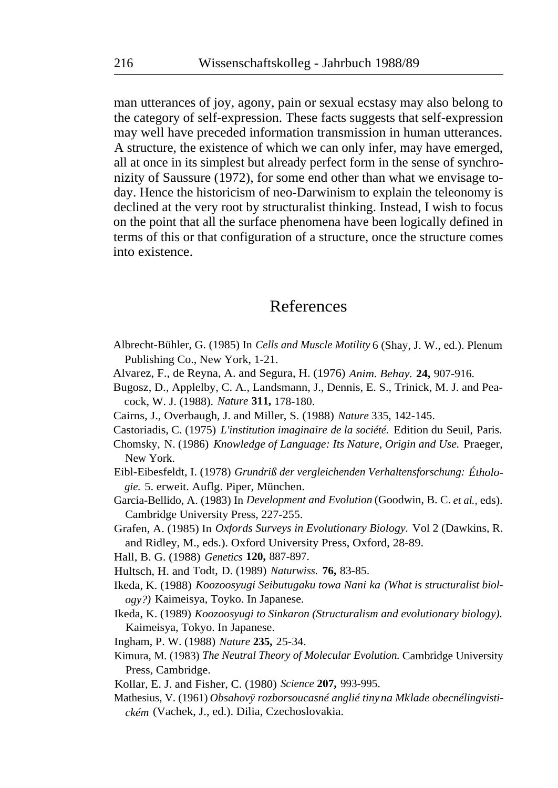man utterances of joy, agony, pain or sexual ecstasy may also belong to the category of self-expression. These facts suggests that self-expression may well have preceded information transmission in human utterances. A structure, the existence of which we can only infer, may have emerged, all at once in its simplest but already perfect form in the sense of synchronizity of Saussure (1972), for some end other than what we envisage today. Hence the historicism of neo-Darwinism to explain the teleonomy is declined at the very root by structuralist thinking. Instead, I wish to focus on the point that all the surface phenomena have been logically defined in terms of this or that configuration of a structure, once the structure comes into existence.

## References

- Albrecht-Bühler, G. (1985) In *Cells and Muscle Motility* 6 (Shay, J. W., ed.). Plenum Publishing Co., New York, 1-21.
- Alvarez, F., de Reyna, A. and Segura, H. (1976) *Anim. Behay.* **24,** 907-916.
- Bugosz, D., Applelby, C. A., Landsmann, J., Dennis, E. S., Trinick, M. J. and Peacock, W. J. (1988). *Nature* **311,** 178-180.
- Cairns, J., Overbaugh, J. and Miller, S. (1988) *Nature* 335, 142-145.
- Castoriadis, C. (1975) *L'institution imaginaire de la société.* Edition du Seuil, Paris.
- Chomsky, N. (1986) *Knowledge of Language: Its Nature, Origin and Use.* Praeger, New York.
- Eibl-Eibesfeldt, I. (1978) *Grundriß der vergleichenden Verhaltensforschung: Éthologie.* 5. erweit. Auflg. Piper, München.
- Garcia-Bellido, A. (1983) In *Development and Evolution* (Goodwin, B. C. *et al.,* eds). Cambridge University Press, 227-255.
- Grafen, A. (1985) In *Oxfords Surveys in Evolutionary Biology.* Vol 2 (Dawkins, R. and Ridley, M., eds.). Oxford University Press, Oxford, 28-89.
- Hall, B. G. (1988) *Genetics* **120,** 887-897.
- Hultsch, H. and Todt, D. (1989) *Naturwiss.* **76,** 83-85.
- Ikeda, K. (1988) *Koozoosyugi Seibutugaku towa Nani ka (What is structuralist biology?)* Kaimeisya, Toyko. In Japanese.
- Ikeda, K. (1989) *Koozoosyugi to Sinkaron (Structuralism and evolutionary biology).*  Kaimeisya, Tokyo. In Japanese.
- Ingham, P. W. (1988) *Nature* **235,** 25-34.
- Kimura, M. (1983) *The Neutral Theory of Molecular Evolution.* Cambridge University Press, Cambridge.
- Kollar, E. J. and Fisher, C. (1980) *Science* **207,** 993-995.
- Mathesius, V. (1961) Obsahovÿ rozborsoucasné anglié tiny na Mklade obecnélingvisti*ckém* (Vachek, J., ed.). Dilia, Czechoslovakia.